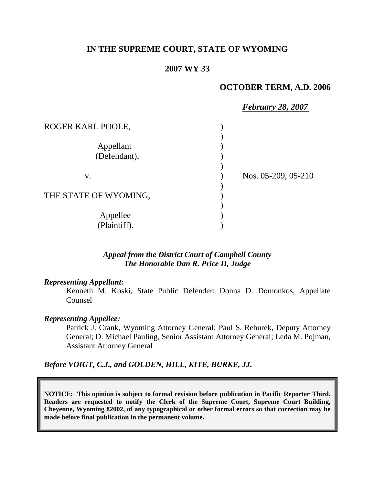## **IN THE SUPREME COURT, STATE OF WYOMING**

#### **2007 WY 33**

#### **OCTOBER TERM, A.D. 2006**

|                       | <b>February 28, 2007</b> |
|-----------------------|--------------------------|
| ROGER KARL POOLE,     |                          |
|                       |                          |
| Appellant             |                          |
| (Defendant),          |                          |
|                       |                          |
| V.                    | Nos. 05-209, 05-210      |
|                       |                          |
| THE STATE OF WYOMING, |                          |
|                       |                          |
| Appellee              |                          |
| (Plaintiff).          |                          |

## *Appeal from the District Court of Campbell County The Honorable Dan R. Price II, Judge*

#### *Representing Appellant:*

Kenneth M. Koski, State Public Defender; Donna D. Domonkos, Appellate Counsel

#### *Representing Appellee:*

Patrick J. Crank, Wyoming Attorney General; Paul S. Rehurek, Deputy Attorney General; D. Michael Pauling, Senior Assistant Attorney General; Leda M. Pojman, Assistant Attorney General

*Before VOIGT, C.J., and GOLDEN, HILL, KITE, BURKE, JJ.*

**NOTICE: This opinion is subject to formal revision before publication in Pacific Reporter Third. Readers are requested to notify the Clerk of the Supreme Court, Supreme Court Building, Cheyenne, Wyoming 82002, of any typographical or other formal errors so that correction may be made before final publication in the permanent volume.**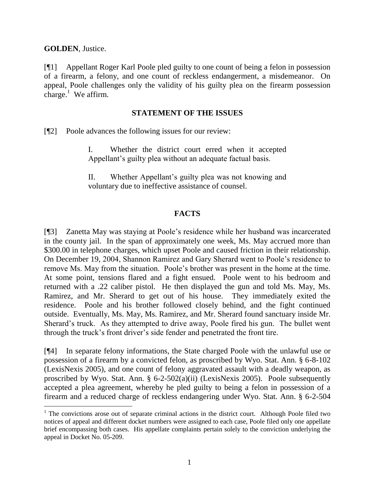**GOLDEN**, Justice.

[¶1] Appellant Roger Karl Poole pled guilty to one count of being a felon in possession of a firearm, a felony, and one count of reckless endangerment, a misdemeanor. On appeal, Poole challenges only the validity of his guilty plea on the firearm possession charge.<sup>1</sup> We affirm.

## **STATEMENT OF THE ISSUES**

[¶2] Poole advances the following issues for our review:

I. Whether the district court erred when it accepted Appellant's guilty plea without an adequate factual basis.

II. Whether Appellant's guilty plea was not knowing and voluntary due to ineffective assistance of counsel.

# **FACTS**

[¶3] Zanetta May was staying at Poole's residence while her husband was incarcerated in the county jail. In the span of approximately one week, Ms. May accrued more than \$300.00 in telephone charges, which upset Poole and caused friction in their relationship. On December 19, 2004, Shannon Ramirez and Gary Sherard went to Poole's residence to remove Ms. May from the situation. Poole's brother was present in the home at the time. At some point, tensions flared and a fight ensued. Poole went to his bedroom and returned with a .22 caliber pistol. He then displayed the gun and told Ms. May, Ms. Ramirez, and Mr. Sherard to get out of his house. They immediately exited the residence. Poole and his brother followed closely behind, and the fight continued outside. Eventually, Ms. May, Ms. Ramirez, and Mr. Sherard found sanctuary inside Mr. Sherard's truck. As they attempted to drive away, Poole fired his gun. The bullet went through the truck's front driver's side fender and penetrated the front tire.

[¶4] In separate felony informations, the State charged Poole with the unlawful use or possession of a firearm by a convicted felon, as proscribed by Wyo. Stat. Ann. § 6-8-102 (LexisNexis 2005), and one count of felony aggravated assault with a deadly weapon, as proscribed by Wyo. Stat. Ann. § 6-2-502(a)(ii) (LexisNexis 2005). Poole subsequently accepted a plea agreement, whereby he pled guilty to being a felon in possession of a firearm and a reduced charge of reckless endangering under Wyo. Stat. Ann. § 6-2-504

<sup>&</sup>lt;sup>1</sup> The convictions arose out of separate criminal actions in the district court. Although Poole filed two notices of appeal and different docket numbers were assigned to each case, Poole filed only one appellate brief encompassing both cases. His appellate complaints pertain solely to the conviction underlying the appeal in Docket No. 05-209.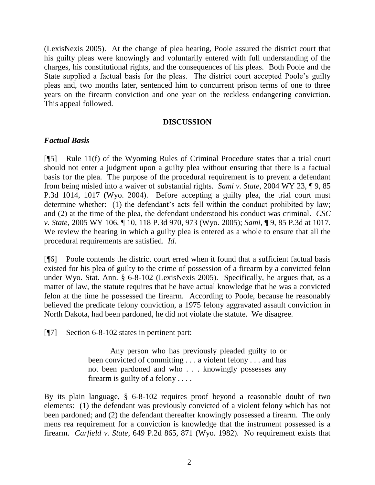(LexisNexis 2005). At the change of plea hearing, Poole assured the district court that his guilty pleas were knowingly and voluntarily entered with full understanding of the charges, his constitutional rights, and the consequences of his pleas. Both Poole and the State supplied a factual basis for the pleas. The district court accepted Poole's guilty pleas and, two months later, sentenced him to concurrent prison terms of one to three years on the firearm conviction and one year on the reckless endangering conviction. This appeal followed.

#### **DISCUSSION**

## *Factual Basis*

[¶5] Rule 11(f) of the Wyoming Rules of Criminal Procedure states that a trial court should not enter a judgment upon a guilty plea without ensuring that there is a factual basis for the plea. The purpose of the procedural requirement is to prevent a defendant from being misled into a waiver of substantial rights. *Sami v. State*, 2004 WY 23, ¶ 9, 85 P.3d 1014, 1017 (Wyo. 2004). Before accepting a guilty plea, the trial court must determine whether: (1) the defendant's acts fell within the conduct prohibited by law; and (2) at the time of the plea, the defendant understood his conduct was criminal. *CSC v. State*, 2005 WY 106, ¶ 10, 118 P.3d 970, 973 (Wyo. 2005); *Sami*, ¶ 9, 85 P.3d at 1017. We review the hearing in which a guilty plea is entered as a whole to ensure that all the procedural requirements are satisfied. *Id*.

[¶6] Poole contends the district court erred when it found that a sufficient factual basis existed for his plea of guilty to the crime of possession of a firearm by a convicted felon under Wyo. Stat. Ann. § 6-8-102 (LexisNexis 2005). Specifically, he argues that, as a matter of law, the statute requires that he have actual knowledge that he was a convicted felon at the time he possessed the firearm. According to Poole, because he reasonably believed the predicate felony conviction, a 1975 felony aggravated assault conviction in North Dakota, had been pardoned, he did not violate the statute. We disagree.

[¶7] Section 6-8-102 states in pertinent part:

Any person who has previously pleaded guilty to or been convicted of committing . . . a violent felony . . . and has not been pardoned and who . . . knowingly possesses any firearm is guilty of a felony . . . .

By its plain language, § 6-8-102 requires proof beyond a reasonable doubt of two elements: (1) the defendant was previously convicted of a violent felony which has not been pardoned; and (2) the defendant thereafter knowingly possessed a firearm. The only mens rea requirement for a conviction is knowledge that the instrument possessed is a firearm. *Carfield v. State*, 649 P.2d 865, 871 (Wyo. 1982). No requirement exists that